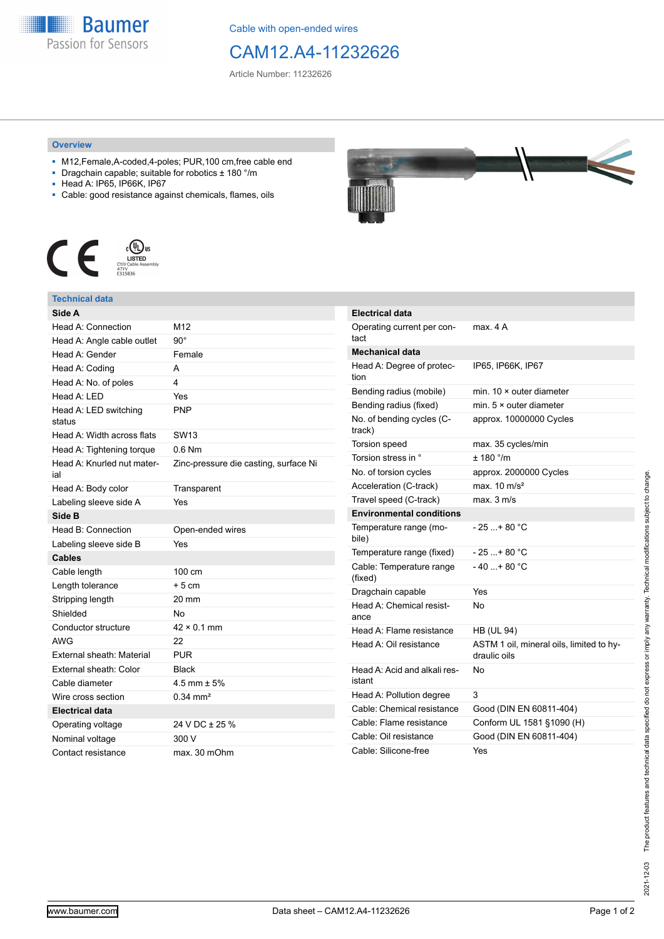

Cable with open-ended wires

## CAM12.A4-11232626

Article Number: 11232626

## **Overview**

- M12,Female,A-coded,4-poles; PUR,100 cm,free cable end
- Dragchain capable; suitable for robotics ± 180 °/m
- Head A: IP65, IP66K, IP67
- Cable: good resistance against chemicals, flames, oils



## **Technical data**

| Head A: Connection<br>M12<br>$90^{\circ}$<br>Female<br>A<br>4<br>Yes<br><b>PNP</b><br>SW <sub>13</sub><br>$0.6$ Nm<br>Zinc-pressure die casting, surface Ni<br>Transparent<br>Yes<br>Head B: Connection<br>Open-ended wires<br>Yes<br>100 cm<br>$+5cm$<br>$20 \text{ mm}$<br>No<br>$42 \times 0.1$ mm<br>22<br><b>PUR</b><br>External sheath: Color<br>Black<br>4.5 mm $\pm$ 5%<br>$0.34$ mm <sup>2</sup><br><b>Electrical data</b><br>24 V DC ± 25 %<br>300 V<br>Contact resistance<br>max. 30 mOhm | Side A                            |  |
|------------------------------------------------------------------------------------------------------------------------------------------------------------------------------------------------------------------------------------------------------------------------------------------------------------------------------------------------------------------------------------------------------------------------------------------------------------------------------------------------------|-----------------------------------|--|
|                                                                                                                                                                                                                                                                                                                                                                                                                                                                                                      |                                   |  |
|                                                                                                                                                                                                                                                                                                                                                                                                                                                                                                      | Head A: Angle cable outlet        |  |
|                                                                                                                                                                                                                                                                                                                                                                                                                                                                                                      | Head A: Gender                    |  |
|                                                                                                                                                                                                                                                                                                                                                                                                                                                                                                      | Head A: Coding                    |  |
|                                                                                                                                                                                                                                                                                                                                                                                                                                                                                                      | Head A: No. of poles              |  |
|                                                                                                                                                                                                                                                                                                                                                                                                                                                                                                      | Head A: LED                       |  |
|                                                                                                                                                                                                                                                                                                                                                                                                                                                                                                      | Head A: LED switching<br>status   |  |
|                                                                                                                                                                                                                                                                                                                                                                                                                                                                                                      | Head A: Width across flats        |  |
|                                                                                                                                                                                                                                                                                                                                                                                                                                                                                                      | Head A: Tightening torque         |  |
|                                                                                                                                                                                                                                                                                                                                                                                                                                                                                                      | Head A: Knurled nut mater-<br>ial |  |
|                                                                                                                                                                                                                                                                                                                                                                                                                                                                                                      | Head A: Body color                |  |
|                                                                                                                                                                                                                                                                                                                                                                                                                                                                                                      | Labeling sleeve side A            |  |
|                                                                                                                                                                                                                                                                                                                                                                                                                                                                                                      | Side B                            |  |
|                                                                                                                                                                                                                                                                                                                                                                                                                                                                                                      |                                   |  |
|                                                                                                                                                                                                                                                                                                                                                                                                                                                                                                      | Labeling sleeve side B            |  |
|                                                                                                                                                                                                                                                                                                                                                                                                                                                                                                      | Cables                            |  |
|                                                                                                                                                                                                                                                                                                                                                                                                                                                                                                      | Cable length                      |  |
|                                                                                                                                                                                                                                                                                                                                                                                                                                                                                                      | Length tolerance                  |  |
|                                                                                                                                                                                                                                                                                                                                                                                                                                                                                                      | Stripping length                  |  |
|                                                                                                                                                                                                                                                                                                                                                                                                                                                                                                      | Shielded                          |  |
|                                                                                                                                                                                                                                                                                                                                                                                                                                                                                                      | Conductor structure               |  |
|                                                                                                                                                                                                                                                                                                                                                                                                                                                                                                      | <b>AWG</b>                        |  |
|                                                                                                                                                                                                                                                                                                                                                                                                                                                                                                      | External sheath: Material         |  |
|                                                                                                                                                                                                                                                                                                                                                                                                                                                                                                      |                                   |  |
|                                                                                                                                                                                                                                                                                                                                                                                                                                                                                                      | Cable diameter                    |  |
|                                                                                                                                                                                                                                                                                                                                                                                                                                                                                                      | Wire cross section                |  |
|                                                                                                                                                                                                                                                                                                                                                                                                                                                                                                      |                                   |  |
|                                                                                                                                                                                                                                                                                                                                                                                                                                                                                                      | Operating voltage                 |  |
|                                                                                                                                                                                                                                                                                                                                                                                                                                                                                                      | Nominal voltage                   |  |
|                                                                                                                                                                                                                                                                                                                                                                                                                                                                                                      |                                   |  |



| <b>Electrical data</b>                 |                                                          |
|----------------------------------------|----------------------------------------------------------|
| Operating current per con-<br>tact     | max. 4 A                                                 |
| <b>Mechanical data</b>                 |                                                          |
| Head A: Degree of protec-<br>tion      | IP65, IP66K, IP67                                        |
| Bending radius (mobile)                | min. $10 \times$ outer diameter                          |
| Bending radius (fixed)                 | min. $5 \times$ outer diameter                           |
| No. of bending cycles (C-<br>track)    | approx. 10000000 Cycles                                  |
| <b>Torsion speed</b>                   | max. 35 cycles/min                                       |
| Torsion stress in °                    | $+ 180$ $^{\circ}$ /m                                    |
| No. of torsion cycles                  | approx. 2000000 Cycles                                   |
| Acceleration (C-track)                 | max. $10 \text{ m/s}^2$                                  |
| Travel speed (C-track)                 | $max$ 3 m/s                                              |
| <b>Environmental conditions</b>        |                                                          |
| Temperature range (mo-<br>bile)        | - 25 + 80 °C                                             |
| Temperature range (fixed)              | - 25 + 80 °C                                             |
| Cable: Temperature range<br>(fixed)    | $-40+80 °C$                                              |
| Dragchain capable                      | Yes                                                      |
| Head A: Chemical resist-<br>ance       | N٥                                                       |
| Head A: Flame resistance               | <b>HB (UL 94)</b>                                        |
| Head A: Oil resistance                 | ASTM 1 oil, mineral oils, limited to hy-<br>draulic oils |
| Head A: Acid and alkali res-<br>istant | No                                                       |
| Head A: Pollution degree               | 3                                                        |
| Cable: Chemical resistance             | Good (DIN EN 60811-404)                                  |
| Cable: Flame resistance                | Conform UL 1581 §1090 (H)                                |
| Cable: Oil resistance                  | Good (DIN EN 60811-404)                                  |
| Cable: Silicone-free                   | Yes                                                      |